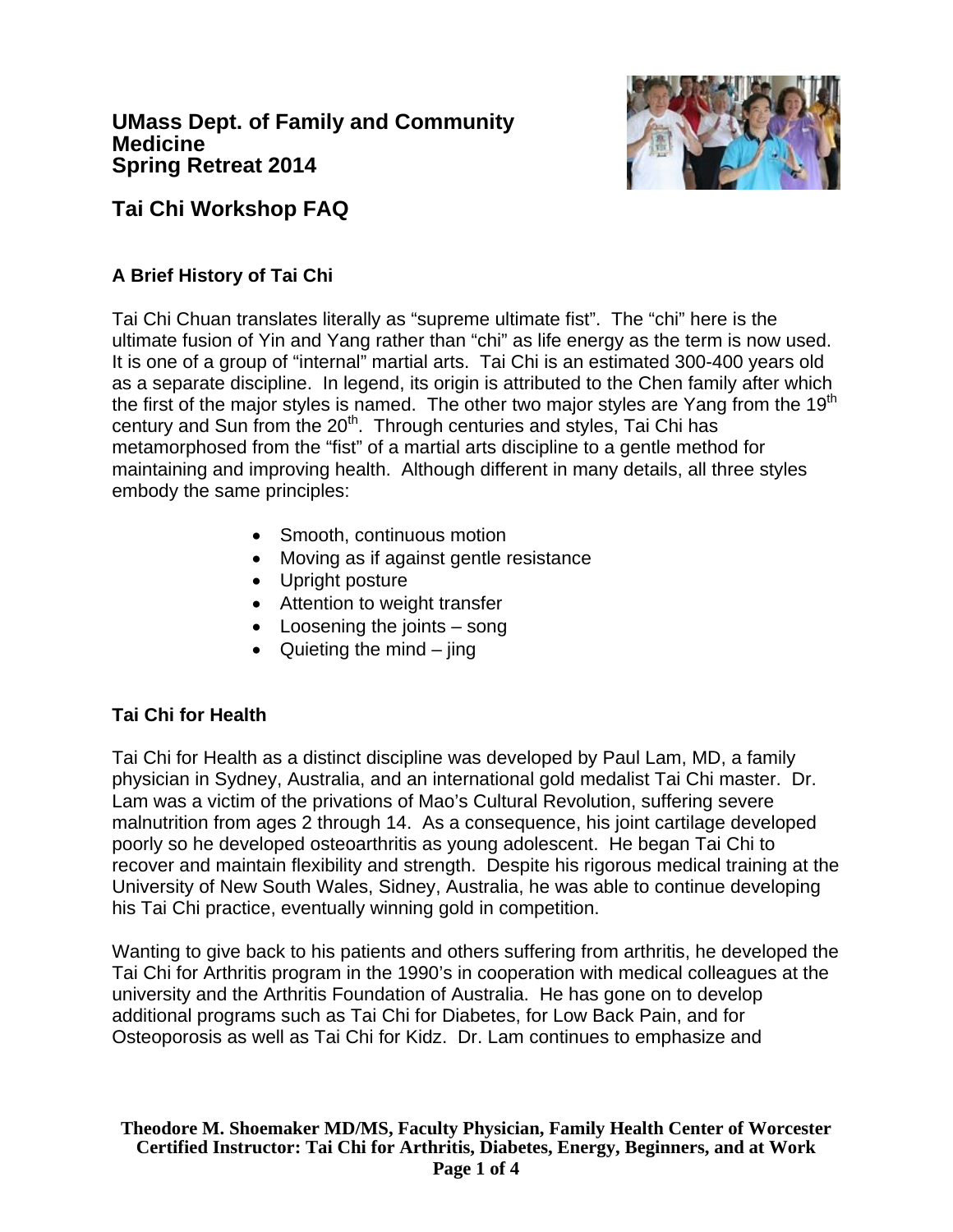

# **Tai Chi Workshop FAQ**

# **A Brief History of Tai Chi**

Tai Chi Chuan translates literally as "supreme ultimate fist". The "chi" here is the ultimate fusion of Yin and Yang rather than "chi" as life energy as the term is now used. It is one of a group of "internal" martial arts. Tai Chi is an estimated 300-400 years old as a separate discipline. In legend, its origin is attributed to the Chen family after which the first of the major styles is named. The other two major styles are Yang from the 19<sup>th</sup> century and Sun from the 20<sup>th</sup>. Through centuries and styles, Tai Chi has metamorphosed from the "fist" of a martial arts discipline to a gentle method for maintaining and improving health. Although different in many details, all three styles embody the same principles:

- Smooth, continuous motion
- Moving as if against gentle resistance
- Upright posture
- Attention to weight transfer
- Loosening the joints song
- Quieting the mind  $-$  jing

# **Tai Chi for Health**

Tai Chi for Health as a distinct discipline was developed by Paul Lam, MD, a family physician in Sydney, Australia, and an international gold medalist Tai Chi master. Dr. Lam was a victim of the privations of Mao's Cultural Revolution, suffering severe malnutrition from ages 2 through 14. As a consequence, his joint cartilage developed poorly so he developed osteoarthritis as young adolescent. He began Tai Chi to recover and maintain flexibility and strength. Despite his rigorous medical training at the University of New South Wales, Sidney, Australia, he was able to continue developing his Tai Chi practice, eventually winning gold in competition.

Wanting to give back to his patients and others suffering from arthritis, he developed the Tai Chi for Arthritis program in the 1990's in cooperation with medical colleagues at the university and the Arthritis Foundation of Australia. He has gone on to develop additional programs such as Tai Chi for Diabetes, for Low Back Pain, and for Osteoporosis as well as Tai Chi for Kidz. Dr. Lam continues to emphasize and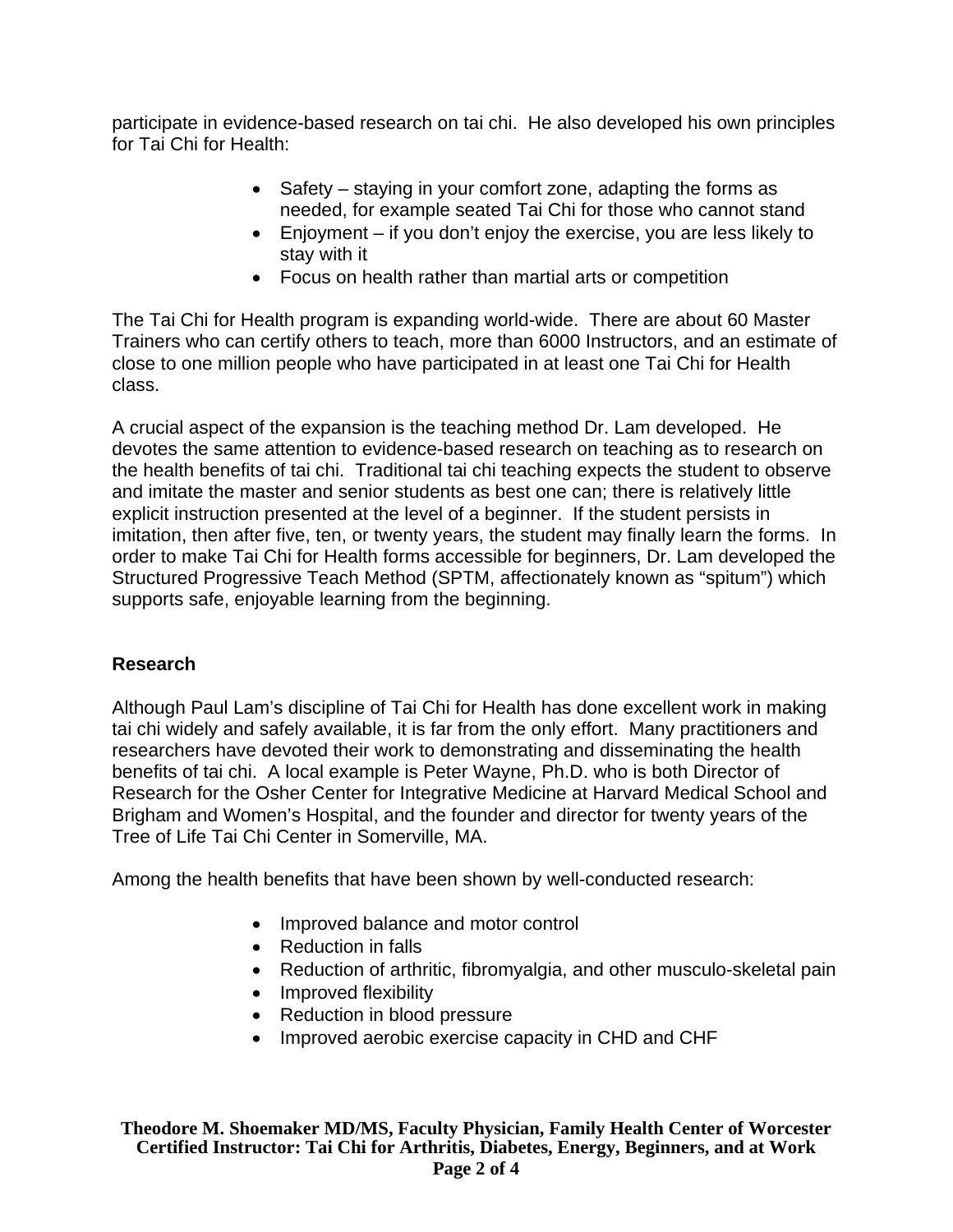participate in evidence-based research on tai chi. He also developed his own principles for Tai Chi for Health:

- Safety staying in your comfort zone, adapting the forms as needed, for example seated Tai Chi for those who cannot stand
- Enjoyment if you don't enjoy the exercise, you are less likely to stay with it
- Focus on health rather than martial arts or competition

The Tai Chi for Health program is expanding world-wide. There are about 60 Master Trainers who can certify others to teach, more than 6000 Instructors, and an estimate of close to one million people who have participated in at least one Tai Chi for Health class.

A crucial aspect of the expansion is the teaching method Dr. Lam developed. He devotes the same attention to evidence-based research on teaching as to research on the health benefits of tai chi. Traditional tai chi teaching expects the student to observe and imitate the master and senior students as best one can; there is relatively little explicit instruction presented at the level of a beginner. If the student persists in imitation, then after five, ten, or twenty years, the student may finally learn the forms. In order to make Tai Chi for Health forms accessible for beginners, Dr. Lam developed the Structured Progressive Teach Method (SPTM, affectionately known as "spitum") which supports safe, enjoyable learning from the beginning.

# **Research**

Although Paul Lam's discipline of Tai Chi for Health has done excellent work in making tai chi widely and safely available, it is far from the only effort. Many practitioners and researchers have devoted their work to demonstrating and disseminating the health benefits of tai chi. A local example is Peter Wayne, Ph.D. who is both Director of Research for the Osher Center for Integrative Medicine at Harvard Medical School and Brigham and Women's Hospital, and the founder and director for twenty years of the Tree of Life Tai Chi Center in Somerville, MA.

Among the health benefits that have been shown by well-conducted research:

- Improved balance and motor control
- Reduction in falls
- Reduction of arthritic, fibromyalgia, and other musculo-skeletal pain
- Improved flexibility
- Reduction in blood pressure
- Improved aerobic exercise capacity in CHD and CHF

**Theodore M. Shoemaker MD/MS, Faculty Physician, Family Health Center of Worcester Certified Instructor: Tai Chi for Arthritis, Diabetes, Energy, Beginners, and at Work Page 2 of 4**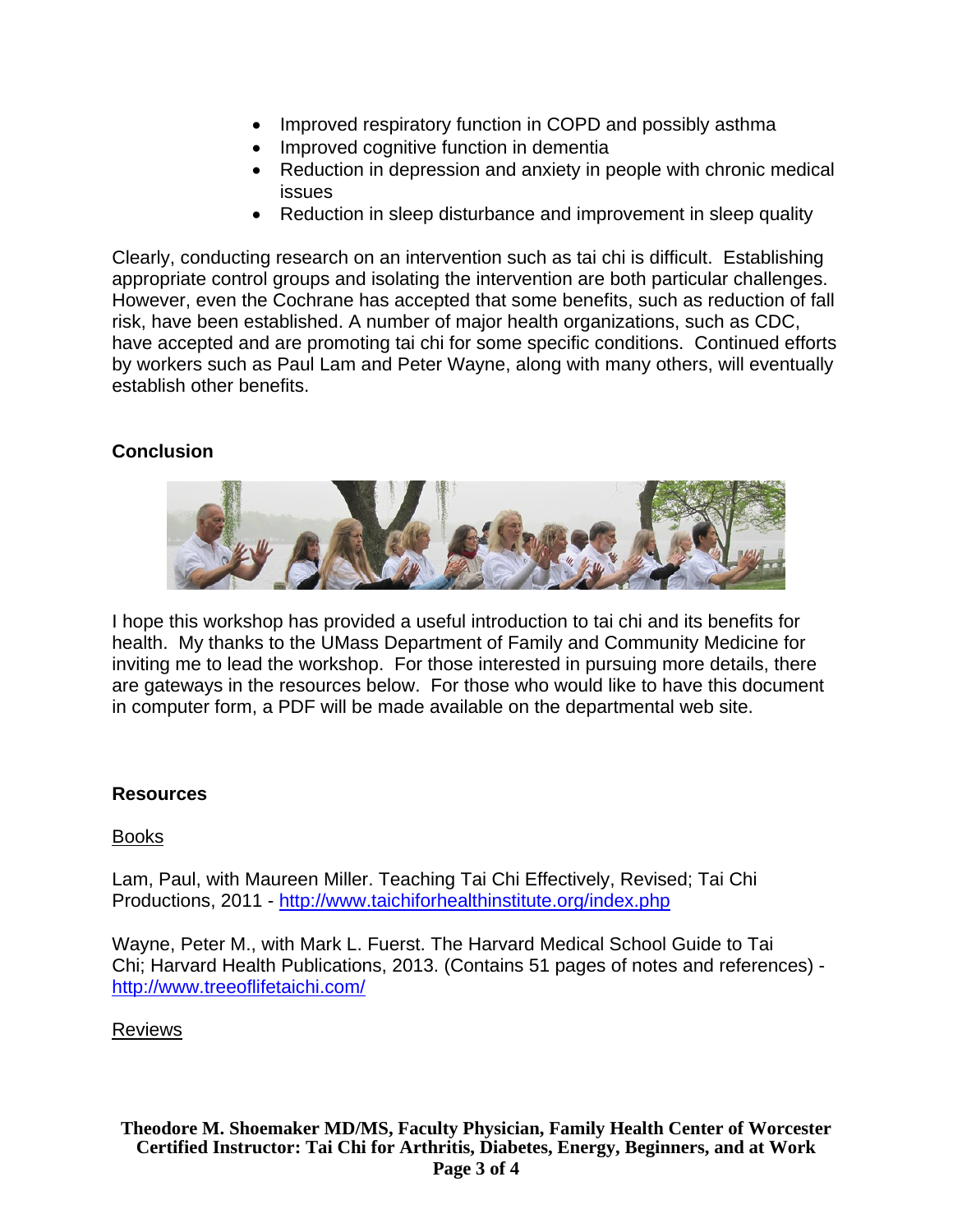- Improved respiratory function in COPD and possibly asthma
- Improved cognitive function in dementia
- Reduction in depression and anxiety in people with chronic medical issues
- Reduction in sleep disturbance and improvement in sleep quality

Clearly, conducting research on an intervention such as tai chi is difficult. Establishing appropriate control groups and isolating the intervention are both particular challenges. However, even the Cochrane has accepted that some benefits, such as reduction of fall risk, have been established. A number of major health organizations, such as CDC, have accepted and are promoting tai chi for some specific conditions. Continued efforts by workers such as Paul Lam and Peter Wayne, along with many others, will eventually establish other benefits.

## **Conclusion**



I hope this workshop has provided a useful introduction to tai chi and its benefits for health. My thanks to the UMass Department of Family and Community Medicine for inviting me to lead the workshop. For those interested in pursuing more details, there are gateways in the resources below. For those who would like to have this document in computer form, a PDF will be made available on the departmental web site.

### **Resources**

#### Books

Lam, Paul, with Maureen Miller. Teaching Tai Chi Effectively, Revised; Tai Chi Productions, 2011 - http://www.taichiforhealthinstitute.org/index.php

Wayne, Peter M., with Mark L. Fuerst. The Harvard Medical School Guide to Tai Chi; Harvard Health Publications, 2013. (Contains 51 pages of notes and references) http://www.treeoflifetaichi.com/

#### Reviews

**Theodore M. Shoemaker MD/MS, Faculty Physician, Family Health Center of Worcester Certified Instructor: Tai Chi for Arthritis, Diabetes, Energy, Beginners, and at Work Page 3 of 4**